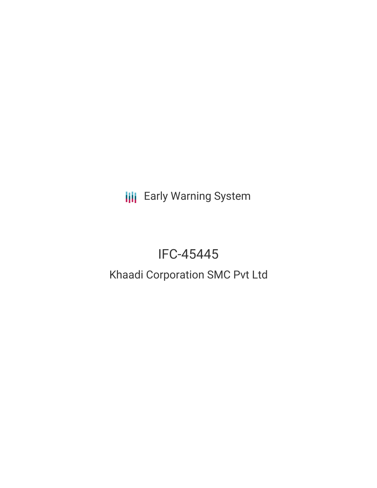**III** Early Warning System

# IFC-45445

# Khaadi Corporation SMC Pvt Ltd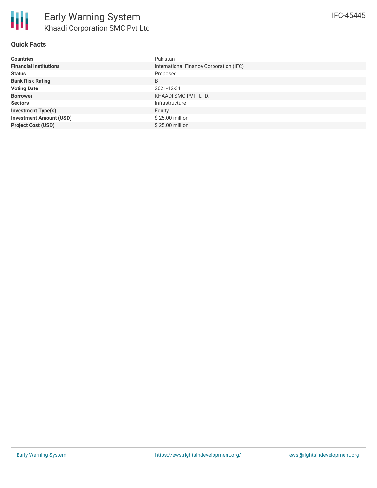| <b>Countries</b>               | Pakistan                                |
|--------------------------------|-----------------------------------------|
| <b>Financial Institutions</b>  | International Finance Corporation (IFC) |
| <b>Status</b>                  | Proposed                                |
| <b>Bank Risk Rating</b>        | B                                       |
| <b>Voting Date</b>             | 2021-12-31                              |
| <b>Borrower</b>                | KHAADI SMC PVT. LTD.                    |
| <b>Sectors</b>                 | Infrastructure                          |
| <b>Investment Type(s)</b>      | Equity                                  |
| <b>Investment Amount (USD)</b> | $$25.00$ million                        |
| <b>Project Cost (USD)</b>      | $$25.00$ million                        |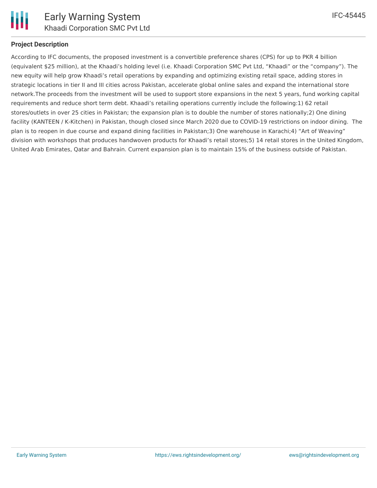

# **Project Description**

According to IFC documents, the proposed investment is a convertible preference shares (CPS) for up to PKR 4 billion (equivalent \$25 million), at the Khaadi's holding level (i.e. Khaadi Corporation SMC Pvt Ltd, "Khaadi" or the "company"). The new equity will help grow Khaadi's retail operations by expanding and optimizing existing retail space, adding stores in strategic locations in tier II and III cities across Pakistan, accelerate global online sales and expand the international store network.The proceeds from the investment will be used to support store expansions in the next 5 years, fund working capital requirements and reduce short term debt. Khaadi's retailing operations currently include the following:1) 62 retail stores/outlets in over 25 cities in Pakistan; the expansion plan is to double the number of stores nationally;2) One dining facility (KANTEEN / K-Kitchen) in Pakistan, though closed since March 2020 due to COVID-19 restrictions on indoor dining. The plan is to reopen in due course and expand dining facilities in Pakistan;3) One warehouse in Karachi;4) "Art of Weaving" division with workshops that produces handwoven products for Khaadi's retail stores;5) 14 retail stores in the United Kingdom, United Arab Emirates, Qatar and Bahrain. Current expansion plan is to maintain 15% of the business outside of Pakistan.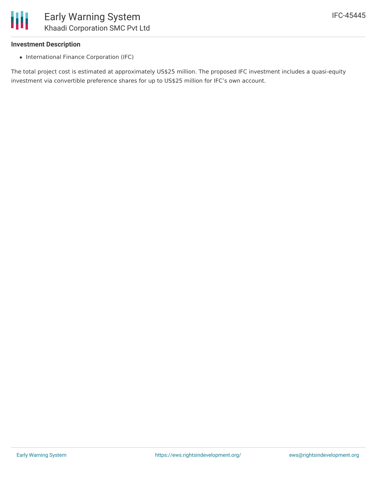

### **Investment Description**

• International Finance Corporation (IFC)

The total project cost is estimated at approximately US\$25 million. The proposed IFC investment includes a quasi-equity investment via convertible preference shares for up to US\$25 million for IFC's own account.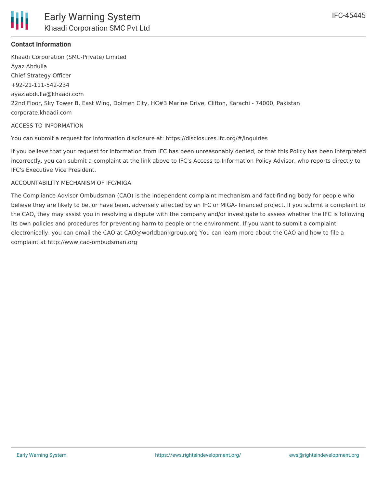

# **Contact Information**

Khaadi Corporation (SMC-Private) Limited Ayaz Abdulla Chief Strategy Officer +92-21-111-542-234 ayaz.abdulla@khaadi.com 22nd Floor, Sky Tower B, East Wing, Dolmen City, HC#3 Marine Drive, Clifton, Karachi - 74000, Pakistan corporate.khaadi.com

#### ACCESS TO INFORMATION

You can submit a request for information disclosure at: https://disclosures.ifc.org/#/inquiries

If you believe that your request for information from IFC has been unreasonably denied, or that this Policy has been interpreted incorrectly, you can submit a complaint at the link above to IFC's Access to Information Policy Advisor, who reports directly to IFC's Executive Vice President.

### ACCOUNTABILITY MECHANISM OF IFC/MIGA

The Compliance Advisor Ombudsman (CAO) is the independent complaint mechanism and fact-finding body for people who believe they are likely to be, or have been, adversely affected by an IFC or MIGA- financed project. If you submit a complaint to the CAO, they may assist you in resolving a dispute with the company and/or investigate to assess whether the IFC is following its own policies and procedures for preventing harm to people or the environment. If you want to submit a complaint electronically, you can email the CAO at CAO@worldbankgroup.org You can learn more about the CAO and how to file a complaint at http://www.cao-ombudsman.org